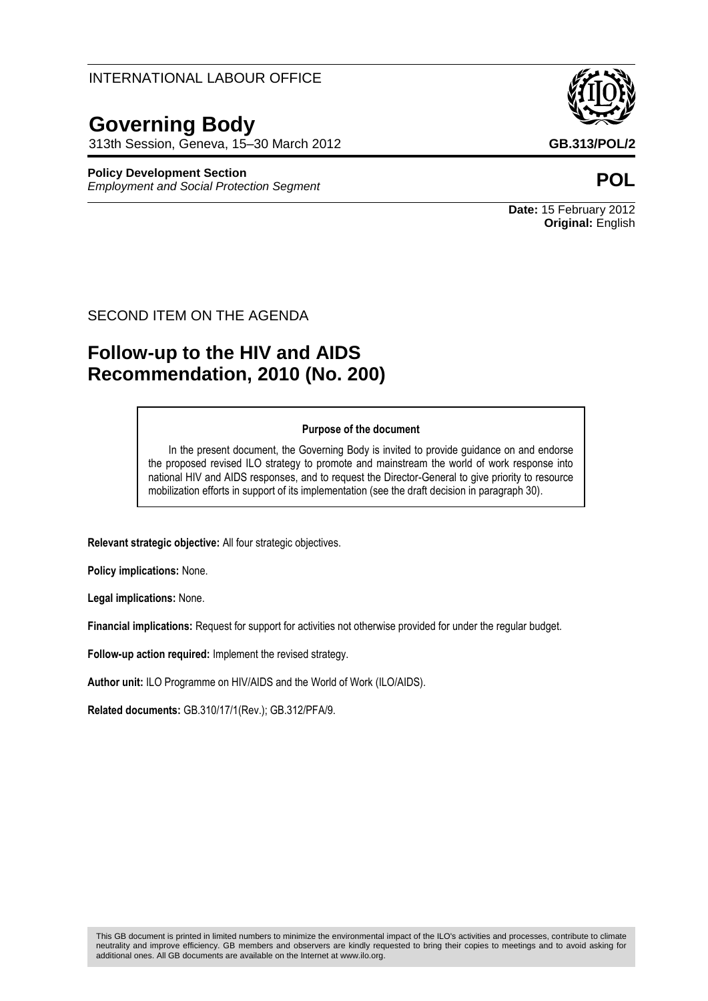## INTERNATIONAL LABOUR OFFICE

# **Governing Body**

313th Session, Geneva, 15–30 March 2012 **GB.313/POL/2**

#### **Policy Development Section**

*Employment and Social Protection Segment* **POL**



**Date:** 15 February 2012 **Original:** English

#### SECOND ITEM ON THE AGENDA

## **Follow-up to the HIV and AIDS Recommendation, 2010 (No. 200)**

#### **Purpose of the document**

In the present document, the Governing Body is invited to provide guidance on and endorse the proposed revised ILO strategy to promote and mainstream the world of work response into national HIV and AIDS responses, and to request the Director-General to give priority to resource mobilization efforts in support of its implementation (see the draft decision in paragraph 30).

**Relevant strategic objective:** All four strategic objectives.

**Policy implications:** None.

**Legal implications:** None.

**Financial implications:** Request for support for activities not otherwise provided for under the regular budget.

**Follow-up action required:** Implement the revised strategy.

**Author unit:** ILO Programme on HIV/AIDS and the World of Work (ILO/AIDS).

**Related documents:** GB.310/17/1(Rev.); GB.312/PFA/9.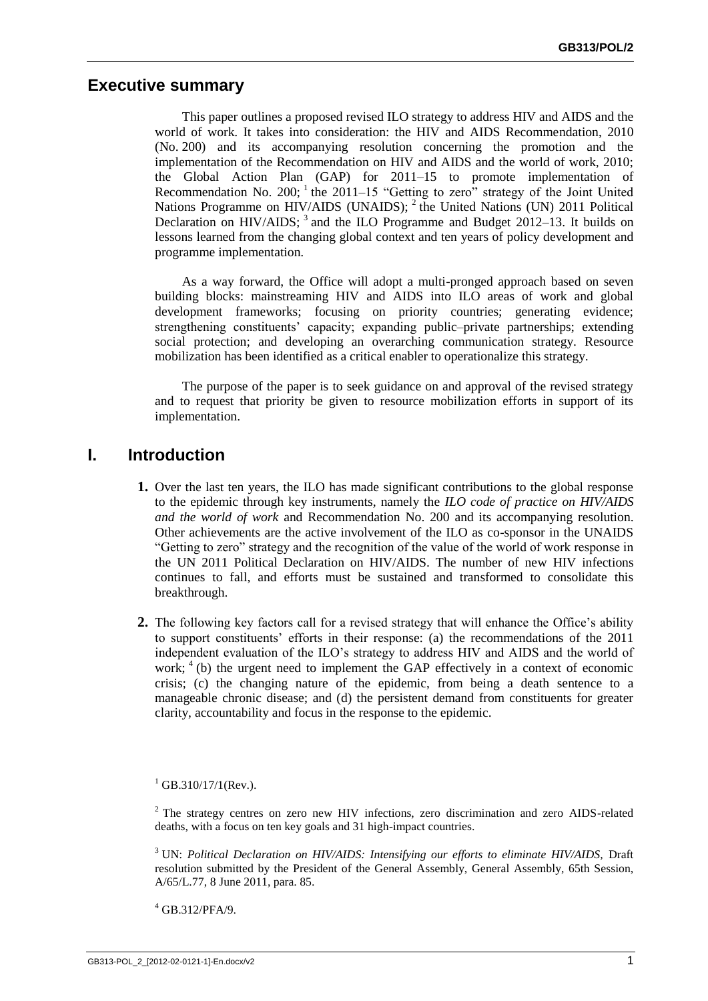### **Executive summary**

This paper outlines a proposed revised ILO strategy to address HIV and AIDS and the world of work. It takes into consideration: the HIV and AIDS Recommendation, 2010 (No. 200) and its accompanying resolution concerning the promotion and the implementation of the Recommendation on HIV and AIDS and the world of work, 2010; the Global Action Plan (GAP) for 2011–15 to promote implementation of Recommendation No. 200;  $^1$  the 2011–15 "Getting to zero" strategy of the Joint United Nations Programme on HIV/AIDS (UNAIDS); <sup>2</sup> the United Nations (UN) 2011 Political Declaration on HIV/AIDS;<sup>3</sup> and the ILO Programme and Budget 2012–13. It builds on lessons learned from the changing global context and ten years of policy development and programme implementation.

As a way forward, the Office will adopt a multi-pronged approach based on seven building blocks: mainstreaming HIV and AIDS into ILO areas of work and global development frameworks; focusing on priority countries; generating evidence; strengthening constituents' capacity; expanding public–private partnerships; extending social protection; and developing an overarching communication strategy. Resource mobilization has been identified as a critical enabler to operationalize this strategy.

The purpose of the paper is to seek guidance on and approval of the revised strategy and to request that priority be given to resource mobilization efforts in support of its implementation.

## **I. Introduction**

- **1.** Over the last ten years, the ILO has made significant contributions to the global response to the epidemic through key instruments, namely the *ILO code of practice on HIV/AIDS and the world of work* and Recommendation No. 200 and its accompanying resolution. Other achievements are the active involvement of the ILO as co-sponsor in the UNAIDS "Getting to zero" strategy and the recognition of the value of the world of work response in the UN 2011 Political Declaration on HIV/AIDS. The number of new HIV infections continues to fall, and efforts must be sustained and transformed to consolidate this breakthrough.
- **2.** The following key factors call for a revised strategy that will enhance the Office's ability to support constituents' efforts in their response: (a) the recommendations of the 2011 independent evaluation of the ILO's strategy to address HIV and AIDS and the world of work;  $4$  (b) the urgent need to implement the GAP effectively in a context of economic crisis; (c) the changing nature of the epidemic, from being a death sentence to a manageable chronic disease; and (d) the persistent demand from constituents for greater clarity, accountability and focus in the response to the epidemic.

 $^{1}$  GB.310/17/1(Rev.).

<sup>2</sup> The strategy centres on zero new HIV infections, zero discrimination and zero AIDS-related deaths, with a focus on ten key goals and 31 high-impact countries.

<sup>3</sup> UN: *Political Declaration on HIV/AIDS: Intensifying our efforts to eliminate HIV/AIDS,* Draft resolution submitted by the President of the General Assembly, General Assembly, 65th Session, A/65/L.77, 8 June 2011, para. 85.

<sup>4</sup> GB.312/PFA/9.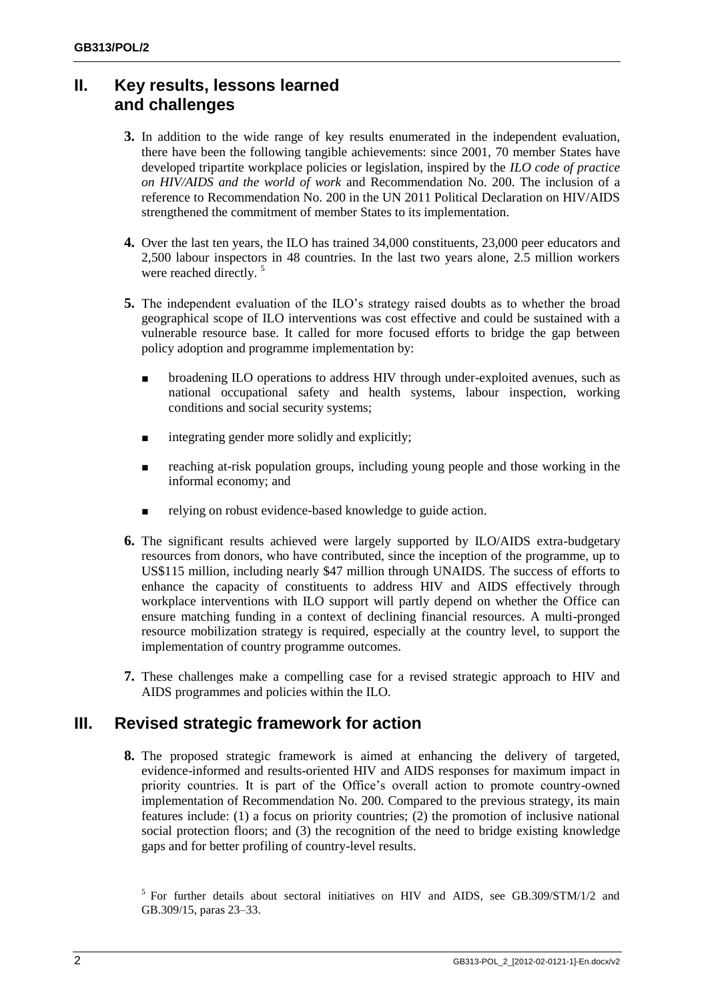## **II. Key results, lessons learned and challenges**

- **3.** In addition to the wide range of key results enumerated in the independent evaluation, there have been the following tangible achievements: since 2001, 70 member States have developed tripartite workplace policies or legislation, inspired by the *ILO code of practice on HIV/AIDS and the world of work* and Recommendation No. 200. The inclusion of a reference to Recommendation No. 200 in the UN 2011 Political Declaration on HIV/AIDS strengthened the commitment of member States to its implementation.
- **4.** Over the last ten years, the ILO has trained 34,000 constituents, 23,000 peer educators and 2,500 labour inspectors in 48 countries. In the last two years alone, 2.5 million workers were reached directly.<sup>5</sup>
- **5.** The independent evaluation of the ILO's strategy raised doubts as to whether the broad geographical scope of ILO interventions was cost effective and could be sustained with a vulnerable resource base. It called for more focused efforts to bridge the gap between policy adoption and programme implementation by:
	- broadening ILO operations to address HIV through under-exploited avenues, such as national occupational safety and health systems, labour inspection, working conditions and social security systems;
	- integrating gender more solidly and explicitly;
	- reaching at-risk population groups, including young people and those working in the informal economy; and
	- relying on robust evidence-based knowledge to guide action.
- **6.** The significant results achieved were largely supported by ILO/AIDS extra-budgetary resources from donors, who have contributed, since the inception of the programme, up to US\$115 million, including nearly \$47 million through UNAIDS. The success of efforts to enhance the capacity of constituents to address HIV and AIDS effectively through workplace interventions with ILO support will partly depend on whether the Office can ensure matching funding in a context of declining financial resources. A multi-pronged resource mobilization strategy is required, especially at the country level, to support the implementation of country programme outcomes.
- **7.** These challenges make a compelling case for a revised strategic approach to HIV and AIDS programmes and policies within the ILO.

## **III. Revised strategic framework for action**

**8.** The proposed strategic framework is aimed at enhancing the delivery of targeted, evidence-informed and results-oriented HIV and AIDS responses for maximum impact in priority countries. It is part of the Office's overall action to promote country-owned implementation of Recommendation No. 200. Compared to the previous strategy, its main features include: (1) a focus on priority countries;  $(2)$  the promotion of inclusive national social protection floors; and (3) the recognition of the need to bridge existing knowledge gaps and for better profiling of country-level results.

<sup>&</sup>lt;sup>5</sup> For further details about sectoral initiatives on HIV and AIDS, see GB.309/STM/1/2 and GB.309/15, paras 23–33.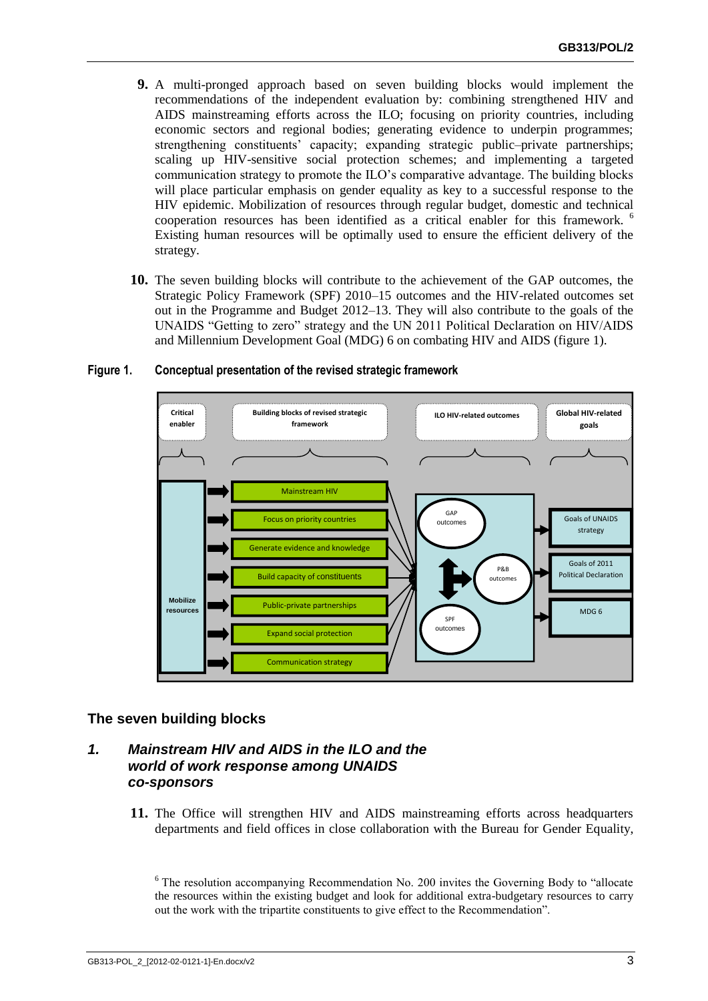- **9.** A multi-pronged approach based on seven building blocks would implement the recommendations of the independent evaluation by: combining strengthened HIV and AIDS mainstreaming efforts across the ILO; focusing on priority countries, including economic sectors and regional bodies; generating evidence to underpin programmes; strengthening constituents' capacity; expanding strategic public–private partnerships; scaling up HIV-sensitive social protection schemes; and implementing a targeted communication strategy to promote the ILO's comparative advantage. The building blocks will place particular emphasis on gender equality as key to a successful response to the HIV epidemic. Mobilization of resources through regular budget, domestic and technical cooperation resources has been identified as a critical enabler for this framework. <sup>6</sup> Existing human resources will be optimally used to ensure the efficient delivery of the strategy.
- **10.** The seven building blocks will contribute to the achievement of the GAP outcomes, the Strategic Policy Framework (SPF) 2010–15 outcomes and the HIV-related outcomes set out in the Programme and Budget 2012–13. They will also contribute to the goals of the UNAIDS "Getting to zero" strategy and the UN 2011 Political Declaration on HIV/AIDS and Millennium Development Goal (MDG) 6 on combating HIV and AIDS (figure 1).

# **Figure 1. Conceptual presentation of the revised strategic framework**



#### **The seven building blocks**

#### *1. Mainstream HIV and AIDS in the ILO and the world of work response among UNAIDS co-sponsors*

**11.** The Office will strengthen HIV and AIDS mainstreaming efforts across headquarters departments and field offices in close collaboration with the Bureau for Gender Equality,

<sup>6</sup> The resolution accompanying Recommendation No. 200 invites the Governing Body to "allocate the resources within the existing budget and look for additional extra-budgetary resources to carry out the work with the tripartite constituents to give effect to the Recommendation".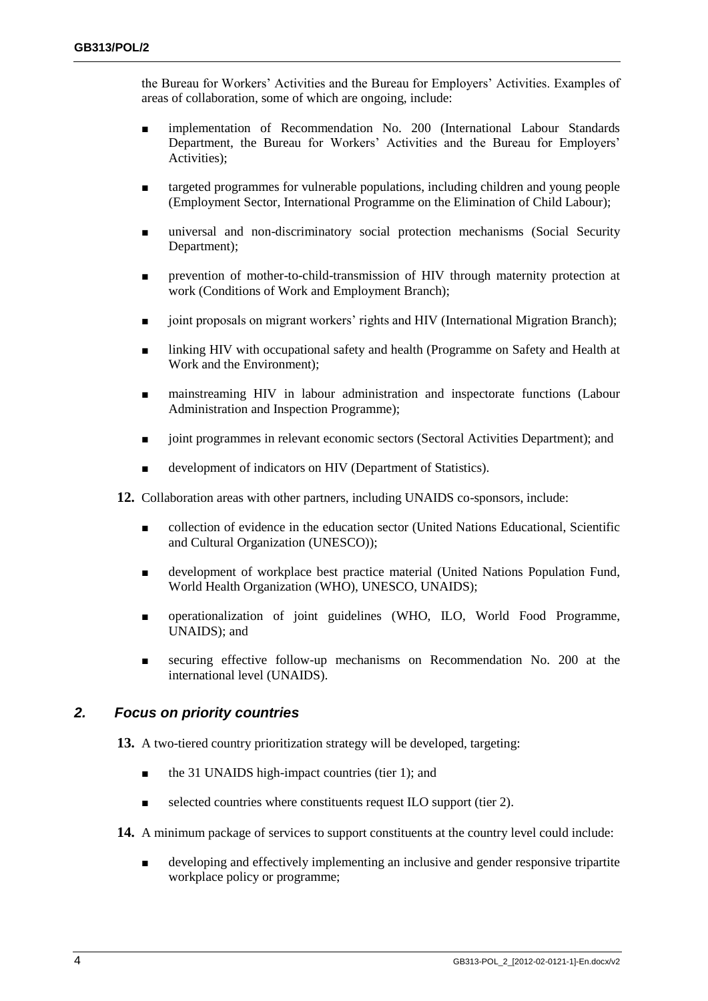the Bureau for Workers' Activities and the Bureau for Employers' Activities. Examples of areas of collaboration, some of which are ongoing, include:

- implementation of Recommendation No. 200 (International Labour Standards Department, the Bureau for Workers' Activities and the Bureau for Employers' Activities);
- targeted programmes for vulnerable populations, including children and young people (Employment Sector, International Programme on the Elimination of Child Labour);
- universal and non-discriminatory social protection mechanisms (Social Security Department);
- prevention of mother-to-child-transmission of HIV through maternity protection at work (Conditions of Work and Employment Branch);
- joint proposals on migrant workers' rights and HIV (International Migration Branch);
- linking HIV with occupational safety and health (Programme on Safety and Health at Work and the Environment);
- mainstreaming HIV in labour administration and inspectorate functions (Labour Administration and Inspection Programme);
- joint programmes in relevant economic sectors (Sectoral Activities Department); and
- development of indicators on HIV (Department of Statistics).

**12.** Collaboration areas with other partners, including UNAIDS co-sponsors, include:

- collection of evidence in the education sector (United Nations Educational, Scientific and Cultural Organization (UNESCO));
- development of workplace best practice material (United Nations Population Fund, World Health Organization (WHO), UNESCO, UNAIDS);
- operationalization of joint guidelines (WHO, ILO, World Food Programme, UNAIDS); and
- securing effective follow-up mechanisms on Recommendation No. 200 at the international level (UNAIDS).

#### *2. Focus on priority countries*

**13.** A two-tiered country prioritization strategy will be developed, targeting:

- the 31 UNAIDS high-impact countries (tier 1); and
- selected countries where constituents request ILO support (tier 2).
- **14.** A minimum package of services to support constituents at the country level could include:
	- developing and effectively implementing an inclusive and gender responsive tripartite workplace policy or programme;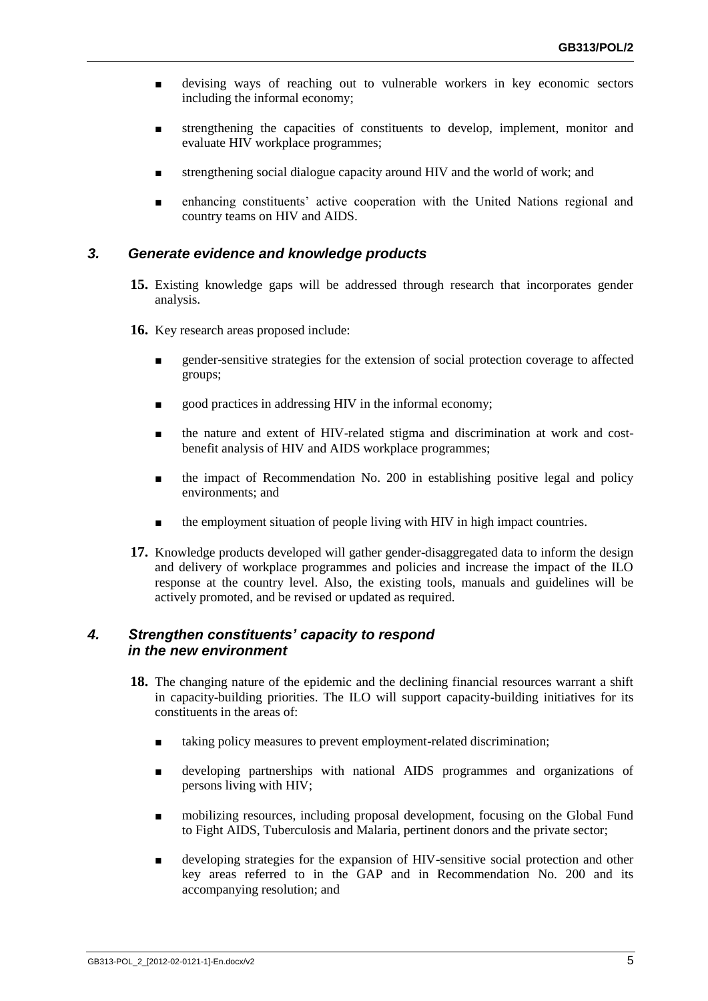- devising ways of reaching out to vulnerable workers in key economic sectors including the informal economy;
- strengthening the capacities of constituents to develop, implement, monitor and evaluate HIV workplace programmes;
- strengthening social dialogue capacity around HIV and the world of work; and
- enhancing constituents' active cooperation with the United Nations regional and country teams on HIV and AIDS.

#### *3. Generate evidence and knowledge products*

- **15.** Existing knowledge gaps will be addressed through research that incorporates gender analysis.
- **16.** Key research areas proposed include:
	- gender-sensitive strategies for the extension of social protection coverage to affected groups;
	- good practices in addressing HIV in the informal economy;
	- the nature and extent of HIV-related stigma and discrimination at work and costbenefit analysis of HIV and AIDS workplace programmes;
	- the impact of Recommendation No. 200 in establishing positive legal and policy environments; and
	- the employment situation of people living with HIV in high impact countries.
- **17.** Knowledge products developed will gather gender-disaggregated data to inform the design and delivery of workplace programmes and policies and increase the impact of the ILO response at the country level. Also, the existing tools, manuals and guidelines will be actively promoted, and be revised or updated as required.

#### *4. Strengthen constituents' capacity to respond in the new environment*

- **18.** The changing nature of the epidemic and the declining financial resources warrant a shift in capacity-building priorities. The ILO will support capacity-building initiatives for its constituents in the areas of:
	- taking policy measures to prevent employment-related discrimination;
	- developing partnerships with national AIDS programmes and organizations of persons living with HIV;
	- mobilizing resources, including proposal development, focusing on the Global Fund to Fight AIDS, Tuberculosis and Malaria, pertinent donors and the private sector;
	- developing strategies for the expansion of HIV-sensitive social protection and other key areas referred to in the GAP and in Recommendation No. 200 and its accompanying resolution; and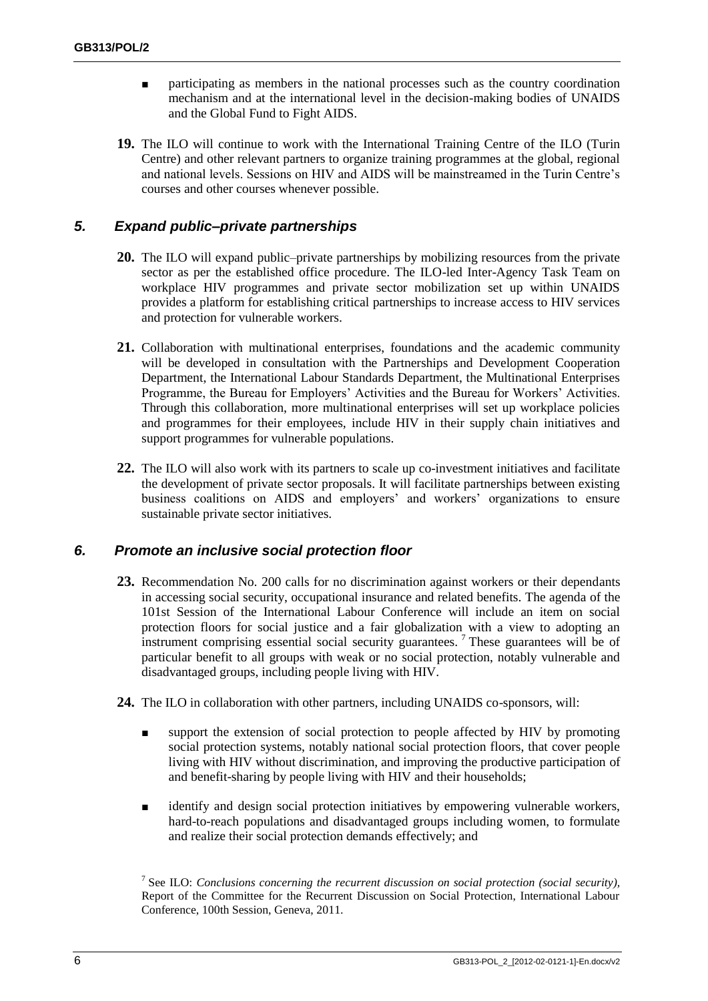- participating as members in the national processes such as the country coordination mechanism and at the international level in the decision-making bodies of UNAIDS and the Global Fund to Fight AIDS.
- **19.** The ILO will continue to work with the International Training Centre of the ILO (Turin Centre) and other relevant partners to organize training programmes at the global, regional and national levels. Sessions on HIV and AIDS will be mainstreamed in the Turin Centre's courses and other courses whenever possible.

#### *5. Expand public–private partnerships*

- **20.** The ILO will expand public–private partnerships by mobilizing resources from the private sector as per the established office procedure. The ILO-led Inter-Agency Task Team on workplace HIV programmes and private sector mobilization set up within UNAIDS provides a platform for establishing critical partnerships to increase access to HIV services and protection for vulnerable workers.
- **21.** Collaboration with multinational enterprises, foundations and the academic community will be developed in consultation with the Partnerships and Development Cooperation Department, the International Labour Standards Department, the Multinational Enterprises Programme, the Bureau for Employers' Activities and the Bureau for Workers' Activities. Through this collaboration, more multinational enterprises will set up workplace policies and programmes for their employees, include HIV in their supply chain initiatives and support programmes for vulnerable populations.
- **22.** The ILO will also work with its partners to scale up co-investment initiatives and facilitate the development of private sector proposals. It will facilitate partnerships between existing business coalitions on AIDS and employers' and workers' organizations to ensure sustainable private sector initiatives.

#### *6. Promote an inclusive social protection floor*

- **23.** Recommendation No. 200 calls for no discrimination against workers or their dependants in accessing social security, occupational insurance and related benefits. The agenda of the 101st Session of the International Labour Conference will include an item on social protection floors for social justice and a fair globalization with a view to adopting an instrument comprising essential social security guarantees.<sup>7</sup> These guarantees will be of particular benefit to all groups with weak or no social protection, notably vulnerable and disadvantaged groups, including people living with HIV.
- **24.** The ILO in collaboration with other partners, including UNAIDS co-sponsors, will:
	- support the extension of social protection to people affected by HIV by promoting social protection systems, notably national social protection floors, that cover people living with HIV without discrimination, and improving the productive participation of and benefit-sharing by people living with HIV and their households;
	- identify and design social protection initiatives by empowering vulnerable workers, hard-to-reach populations and disadvantaged groups including women, to formulate and realize their social protection demands effectively; and

<sup>7</sup> See ILO: *Conclusions concerning the recurrent discussion on social protection (social security),* Report of the Committee for the Recurrent Discussion on Social Protection, International Labour Conference, 100th Session, Geneva, 2011.